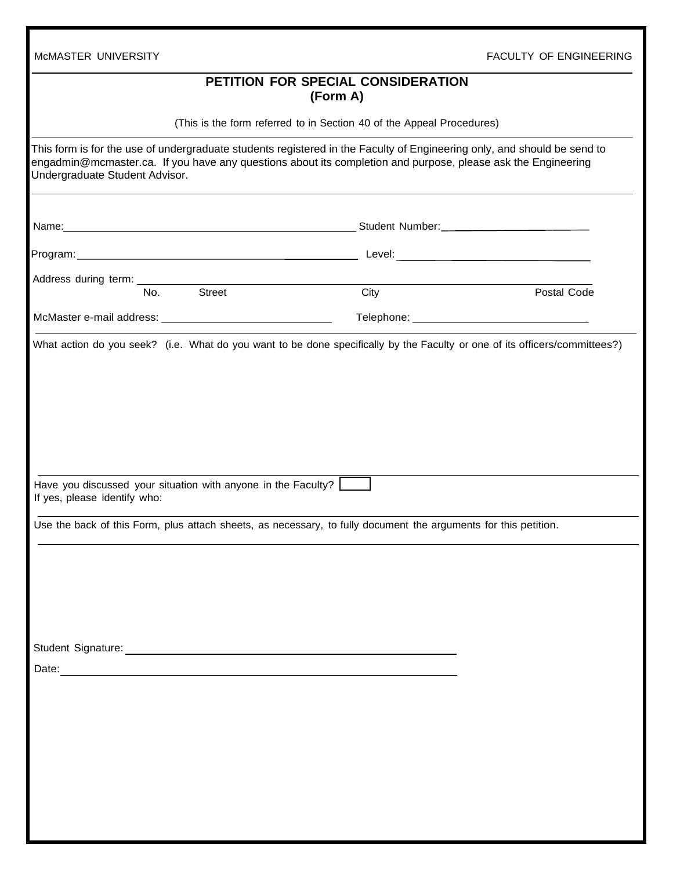| McMASTER UNIVERSITY                                                                                                                                                                                                                                                       |      | <b>FACULTY OF ENGINEERING</b> |
|---------------------------------------------------------------------------------------------------------------------------------------------------------------------------------------------------------------------------------------------------------------------------|------|-------------------------------|
| PETITION FOR SPECIAL CONSIDERATION<br>(Form A)                                                                                                                                                                                                                            |      |                               |
| (This is the form referred to in Section 40 of the Appeal Procedures)                                                                                                                                                                                                     |      |                               |
| This form is for the use of undergraduate students registered in the Faculty of Engineering only, and should be send to<br>engadmin@mcmaster.ca. If you have any questions about its completion and purpose, please ask the Engineering<br>Undergraduate Student Advisor. |      |                               |
| Name: Name: Name: Name: Name: Name: Number: Number: Number: Number: Number: Number: Number: Number: Number: Number: Number: Number: Number: Number: Number: Number: Number: Number: Number: Number: Number: Number: Number: Nu                                            |      |                               |
|                                                                                                                                                                                                                                                                           |      |                               |
|                                                                                                                                                                                                                                                                           |      |                               |
| No.<br><b>Street</b>                                                                                                                                                                                                                                                      | City | Postal Code                   |
|                                                                                                                                                                                                                                                                           |      |                               |
| Have you discussed your situation with anyone in the Faculty?<br>If yes, please identify who:                                                                                                                                                                             |      |                               |
| Use the back of this Form, plus attach sheets, as necessary, to fully document the arguments for this petition.                                                                                                                                                           |      |                               |
|                                                                                                                                                                                                                                                                           |      |                               |
|                                                                                                                                                                                                                                                                           |      |                               |
|                                                                                                                                                                                                                                                                           |      |                               |
| Date: <u>experience</u> and the contract of the contract of the contract of the contract of the contract of the contract of the contract of the contract of the contract of the contract of the contract of the contract of the con                                       |      |                               |
|                                                                                                                                                                                                                                                                           |      |                               |
|                                                                                                                                                                                                                                                                           |      |                               |
|                                                                                                                                                                                                                                                                           |      |                               |
|                                                                                                                                                                                                                                                                           |      |                               |
|                                                                                                                                                                                                                                                                           |      |                               |
|                                                                                                                                                                                                                                                                           |      |                               |
|                                                                                                                                                                                                                                                                           |      |                               |